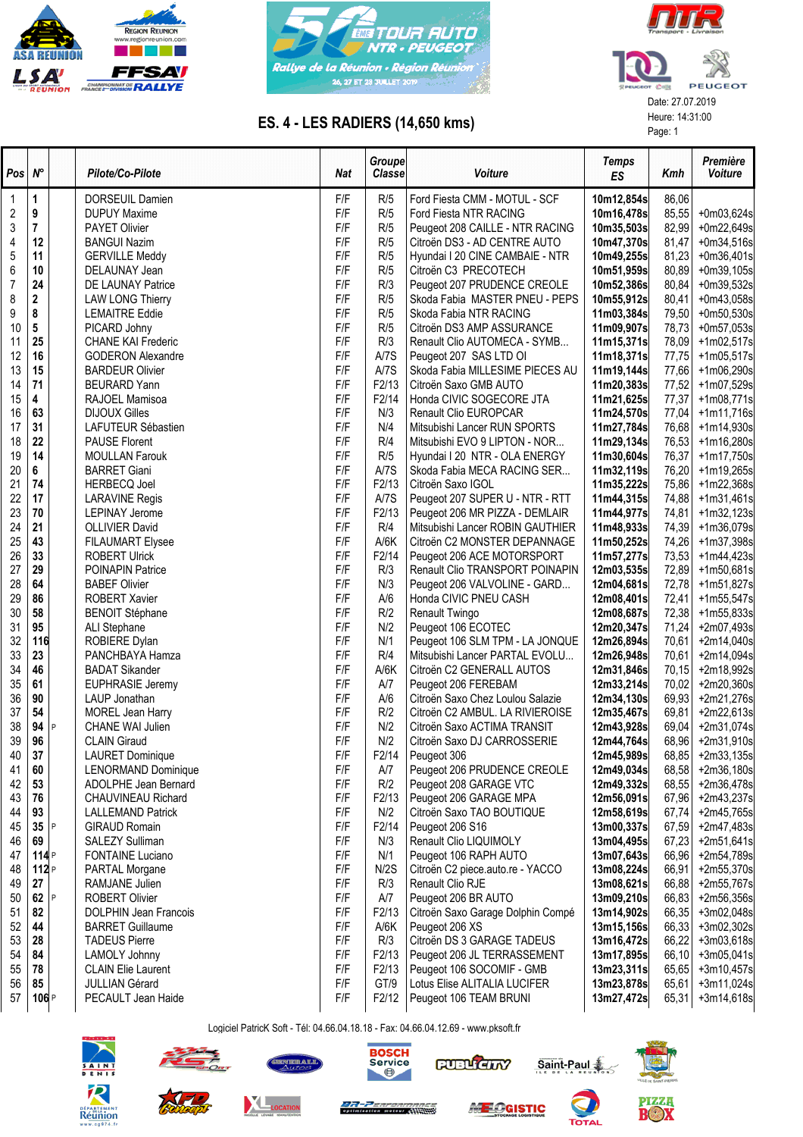





## ES. 4 - LES RADIERS (14,650 kms)<br>
Page: 1<br>
Page: 1

| $Pos \, N^{\circ}$ |                |   | Pilote/Co-Pilote             | Nat | Groupe<br>Classe   | Voiture                           | <b>Temps</b><br>ES | Kmh   | Première<br>Voiture |
|--------------------|----------------|---|------------------------------|-----|--------------------|-----------------------------------|--------------------|-------|---------------------|
| 1                  | 1              |   | DORSEUIL Damien              | F/F | R/5                | Ford Fiesta CMM - MOTUL - SCF     | 10m12,854s         | 86,06 |                     |
| 2                  | 9              |   | <b>DUPUY Maxime</b>          | F/F | R/5                | Ford Fiesta NTR RACING            | 10m16,478s         | 85,55 | +0m03,624s          |
| 3                  | $\overline{7}$ |   | <b>PAYET Olivier</b>         | F/F | R/5                | Peugeot 208 CAILLE - NTR RACING   | 10m35,503s         | 82,99 | +0m22,649s          |
| 4                  | 12             |   | <b>BANGUI Nazim</b>          | F/F | R/5                | Citroën DS3 - AD CENTRE AUTO      | 10m47,370s         | 81,47 | +0m34,516s          |
| 5                  | 11             |   | <b>GERVILLE Meddy</b>        | F/F | R/5                | Hyundai I 20 CINE CAMBAIE - NTR   | 10m49,255s         | 81,23 | +0m36,401s          |
| 6                  | 10             |   | DELAUNAY Jean                | F/F | R/5                | Citroën C3 PRECOTECH              | 10m51,959s         | 80,89 | +0m39,105s          |
| $\overline{7}$     | 24             |   | DE LAUNAY Patrice            | F/F | R/3                | Peugeot 207 PRUDENCE CREOLE       | 10m52,386s         | 80,84 | +0m39,532s          |
| 8                  | $\mathbf 2$    |   | <b>LAW LONG Thierry</b>      | F/F | R/5                | Skoda Fabia MASTER PNEU - PEPS    | 10m55,912s         | 80,41 | $+0m43,058s$        |
| 9                  | 8              |   | <b>LEMAITRE Eddie</b>        | F/F | R/5                | Skoda Fabia NTR RACING            | 11m03,384s         | 79,50 | $+0m50,530s$        |
| 10                 | 5              |   | PICARD Johny                 | F/F | R/5                | Citroën DS3 AMP ASSURANCE         | 11m09,907s         | 78,73 | +0m57,053s          |
| 11                 | 25             |   | <b>CHANE KAI Frederic</b>    | F/F | R/3                | Renault Clio AUTOMECA - SYMB      | 11m15,371s         | 78,09 | +1m02,517s          |
| 12                 | 16             |   | <b>GODERON Alexandre</b>     | F/F | A/7S               | Peugeot 207 SAS LTD OI            | 11m18,371s         | 77,75 | $+1m05,517s$        |
| 13                 | 15             |   | <b>BARDEUR Olivier</b>       | F/F | A/7S               | Skoda Fabia MILLESIME PIECES AU   | 11m19,144s         | 77,66 | +1m06,290s          |
| 14                 | 71             |   | <b>BEURARD Yann</b>          | F/F | F2/13              | Citroën Saxo GMB AUTO             | 11m20,383s         | 77,52 | +1m07,529s          |
| 15                 | 4              |   | RAJOEL Mamisoa               | F/F | F2/14              | Honda CIVIC SOGECORE JTA          | 11m21,625s         | 77,37 | $+1m08,771s$        |
| 16                 | 63             |   | <b>DIJOUX Gilles</b>         | F/F | N/3                | Renault Clio EUROPCAR             | 11m24,570s         | 77,04 | $+1m11,716s$        |
| 17                 | 31             |   | LAFUTEUR Sébastien           | F/F | N/4                | Mitsubishi Lancer RUN SPORTS      | 11m27,784s         | 76,68 | +1m14,930s          |
| 18                 | 22             |   | <b>PAUSE Florent</b>         | F/F | R/4                | Mitsubishi EVO 9 LIPTON - NOR     | 11m29,134s         | 76,53 | +1m16,280s          |
| 19                 | 14             |   | <b>MOULLAN Farouk</b>        | F/F | R/5                | Hyundai I 20 NTR - OLA ENERGY     | 11m30,604s         | 76,37 | +1m17,750s          |
| 20                 | 6              |   | <b>BARRET Giani</b>          | F/F | A/7S               | Skoda Fabia MECA RACING SER       | 11m32,119s         | 76,20 | +1m19,265s          |
| 21                 | 74             |   | <b>HERBECQ Joel</b>          | F/F | F2/13              | Citroën Saxo IGOL                 | 11m35,222s         | 75,86 | +1m22,368s          |
| 22                 | 17             |   | <b>LARAVINE Regis</b>        | F/F | A/7S               | Peugeot 207 SUPER U - NTR - RTT   | 11m44,315s         | 74,88 | $+1m31,461s$        |
| 23                 | 70             |   | <b>LEPINAY Jerome</b>        | F/F | F2/13              | Peugeot 206 MR PIZZA - DEMLAIR    | 11m44,977s         | 74,81 | +1m32,123s          |
| 24                 | 21             |   | <b>OLLIVIER David</b>        | F/F | R/4                | Mitsubishi Lancer ROBIN GAUTHIER  | 11m48,933s         | 74,39 | +1m36,079s          |
| 25                 | 43             |   | <b>FILAUMART Elysee</b>      | F/F | A/6K               | Citroën C2 MONSTER DEPANNAGE      | 11m50,252s         | 74,26 | +1m37,398s          |
| 26                 | 33             |   | <b>ROBERT Ulrick</b>         | F/F | F <sub>2</sub> /14 | Peugeot 206 ACE MOTORSPORT        | 11m57,277s         | 73,53 | +1m44,423s          |
| 27                 | 29             |   | <b>POINAPIN Patrice</b>      | F/F | R/3                | Renault Clio TRANSPORT POINAPIN   | 12m03,535s         | 72,89 | +1m50,681s          |
| 28                 | 64             |   | <b>BABEF Olivier</b>         | F/F | N/3                | Peugeot 206 VALVOLINE - GARD      | 12m04,681s         | 72,78 | +1m51,827s          |
| 29                 | 86             |   | <b>ROBERT Xavier</b>         | F/F | A/6                | Honda CIVIC PNEU CASH             | 12m08,401s         | 72,41 | +1m55,547s          |
| 30                 | 58             |   | <b>BENOIT Stéphane</b>       | F/F | R/2                | Renault Twingo                    | 12m08,687s         | 72,38 | +1m55,833s          |
| 31                 | 95             |   | ALI Stephane                 | F/F | N/2                | Peugeot 106 ECOTEC                | 12m20,347s         | 71,24 | +2m07,493s          |
| 32                 | 116            |   | <b>ROBIERE Dylan</b>         | F/F | N/1                | Peugeot 106 SLM TPM - LA JONQUE   | 12m26,894s         | 70,61 | +2m14,040s          |
| 33                 | 23             |   | PANCHBAYA Hamza              | F/F | R/4                | Mitsubishi Lancer PARTAL EVOLU    | 12m26,948s         | 70,61 | +2m14,094s          |
| 34                 | 46             |   | <b>BADAT Sikander</b>        | F/F | A/6K               | Citroën C2 GENERALL AUTOS         | 12m31,846s         | 70,15 | +2m18,992s          |
| 35                 | 61             |   | <b>EUPHRASIE Jeremy</b>      | F/F | A/7                | Peugeot 206 FEREBAM               | 12m33,214s         | 70,02 | +2m20,360s          |
| 36                 | 90             |   | LAUP Jonathan                | F/F | A/6                | Citroën Saxo Chez Loulou Salazie  | 12m34,130s         | 69,93 | $+2m21,276s$        |
| 37                 | 54             |   | <b>MOREL Jean Harry</b>      | F/F | R/2                | Citroën C2 AMBUL. LA RIVIEROISE   | 12m35,467s         | 69,81 | +2m22,613s          |
| 38                 | 94             | P | CHANE WAI Julien             | F/F | N/2                | Citroën Saxo ACTIMA TRANSIT       | 12m43,928s         | 69,04 | $+2m31,074s$        |
| 39                 | 96             |   | <b>CLAIN Giraud</b>          | F/F | N/2                | Citroën Saxo DJ CARROSSERIE       | 12m44,764s         | 68,96 | +2m31,910s          |
| 40                 | 37             |   | <b>LAURET Dominique</b>      | F/F | F2/14              | Peugeot 306                       | 12m45,989s         | 68,85 | $+2m33,135s$        |
| 41                 | 60             |   | <b>LENORMAND Dominique</b>   | F/F | A/7                | Peugeot 206 PRUDENCE CREOLE       | 12m49,034s         | 68,58 | +2m36,180s          |
| 42                 | 53             |   | ADOLPHE Jean Bernard         | F/F | R/2                | Peugeot 208 GARAGE VTC            | 12m49,332s         | 68,55 | +2m36,478s          |
| 43                 | 76             |   | <b>CHAUVINEAU Richard</b>    | F/F | F <sub>2</sub> /13 | Peugeot 206 GARAGE MPA            | 12m56,091s         | 67,96 | +2m43,237s          |
| 44                 | 93             |   | <b>LALLEMAND Patrick</b>     | F/F | N/2                | Citroën Saxo TAO BOUTIQUE         | 12m58,619s         | 67,74 | +2m45,765s          |
| 45                 | 35             |   | <b>GIRAUD Romain</b>         | F/F | F2/14              | Peugeot 206 S16                   | 13m00,337s         | 67,59 | +2m47,483s          |
| 46                 | 69             |   | SALEZY Sulliman              | F/F | N/3                | Renault Clio LIQUIMOLY            | 13m04,495s         | 67,23 | +2m51,641s          |
| 47                 | 114P           |   | <b>FONTAINE Luciano</b>      | F/F | N/1                | Peugeot 106 RAPH AUTO             | 13m07,643s         | 66,96 | +2m54,789s          |
| 48                 | 112P           |   | <b>PARTAL Morgane</b>        | F/F | N/2S               | Citroën C2 piece.auto.re - YACCO  | 13m08,224s         | 66,91 | +2m55,370s          |
| 49                 | 27             |   | RAMJANE Julien               | F/F | R/3                | Renault Clio RJE                  | 13m08,621s         | 66,88 | +2m55,767s          |
| 50                 | 62             | P | <b>ROBERT Olivier</b>        | F/F | A/7                | Peugeot 206 BR AUTO               | 13m09,210s         | 66,83 | +2m56,356s          |
| 51                 | 82             |   | <b>DOLPHIN Jean Francois</b> | F/F | F <sub>2</sub> /13 | Citroën Saxo Garage Dolphin Compé | 13m14,902s         | 66,35 | +3m02,048s          |
| 52                 | 44             |   | <b>BARRET Guillaume</b>      | F/F | A/6K               | Peugeot 206 XS                    | 13m15,156s         | 66,33 | +3m02,302s          |
| 53                 | 28             |   | <b>TADEUS Pierre</b>         | F/F | R/3                | Citroën DS 3 GARAGE TADEUS        | 13m16,472s         | 66,22 | +3m03,618s          |
| 54                 | 84             |   | LAMOLY Johnny                | F/F | F2/13              | Peugeot 206 JL TERRASSEMENT       | 13m17,895s         | 66,10 | +3m05,041s          |
| 55                 | 78             |   | <b>CLAIN Elie Laurent</b>    | F/F | F2/13              | Peugeot 106 SOCOMIF - GMB         | 13m23,311s         | 65,65 | +3m10,457s          |
| 56                 | 85             |   | <b>JULLIAN Gérard</b>        | F/F | GT/9               | Lotus Elise ALITALIA LUCIFER      | 13m23,878s         | 65,61 | +3m11,024s          |
| 57                 | 106P           |   | PECAULT Jean Haide           | F/F | F2/12              | Peugeot 106 TEAM BRUNI            | 13m27,472s         | 65,31 | +3m14,618s          |
|                    |                |   |                              |     |                    |                                   |                    |       |                     |

Logiciel PatricK Soft - Tél: 04.66.04.18.18 - Fax: 04.66.04.12.69 - www.pksoft.fr







**SACTO EXPORTER** 



**MELOGISTIC** 



Saint-Paul

 $\sum_{\text{Total}}$